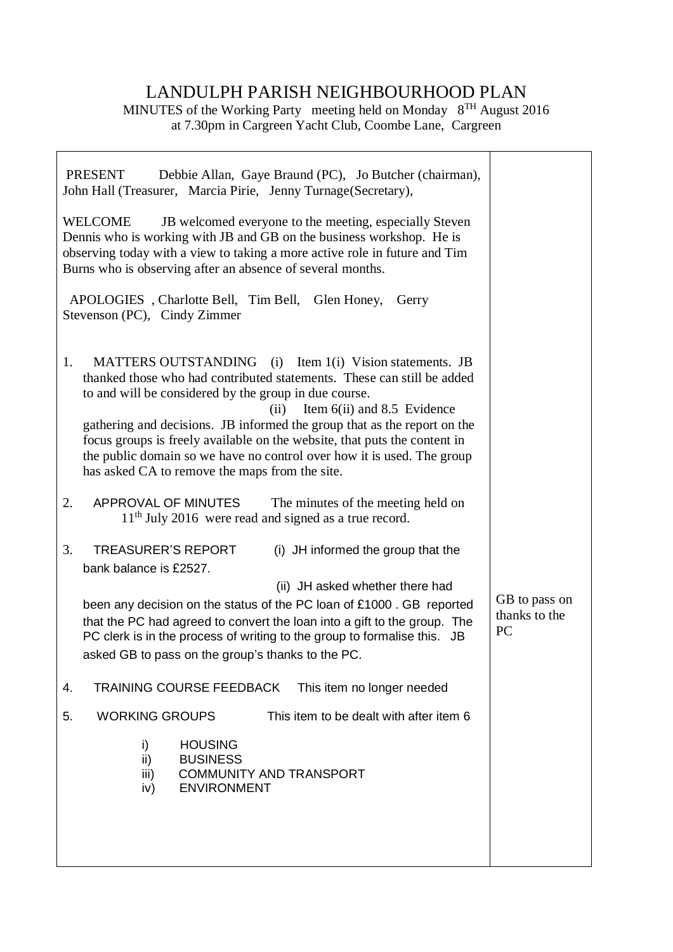## LANDULPH PARISH NEIGHBOURHOOD PLAN

MINUTES of the Working Party meeting held on Monday 8<sup>TH</sup> August 2016 at 7.30pm in Cargreen Yacht Club, Coombe Lane, Cargreen

| <b>PRESENT</b><br>Debbie Allan, Gaye Braund (PC), Jo Butcher (chairman),<br>John Hall (Treasurer, Marcia Pirie, Jenny Turnage (Secretary),                                                                                                                                                                                                                                                                                                                                                                                   |                                             |
|------------------------------------------------------------------------------------------------------------------------------------------------------------------------------------------------------------------------------------------------------------------------------------------------------------------------------------------------------------------------------------------------------------------------------------------------------------------------------------------------------------------------------|---------------------------------------------|
| <b>WELCOME</b><br>JB welcomed everyone to the meeting, especially Steven<br>Dennis who is working with JB and GB on the business workshop. He is<br>observing today with a view to taking a more active role in future and Tim<br>Burns who is observing after an absence of several months.                                                                                                                                                                                                                                 |                                             |
| APOLOGIES, Charlotte Bell, Tim Bell, Glen Honey,<br>Gerry<br>Stevenson (PC), Cindy Zimmer                                                                                                                                                                                                                                                                                                                                                                                                                                    |                                             |
| MATTERS OUTSTANDING (i) Item 1(i) Vision statements. JB<br>1.<br>thanked those who had contributed statements. These can still be added<br>to and will be considered by the group in due course.<br>Item 6(ii) and 8.5 Evidence<br>(ii)<br>gathering and decisions. JB informed the group that as the report on the<br>focus groups is freely available on the website, that puts the content in<br>the public domain so we have no control over how it is used. The group<br>has asked CA to remove the maps from the site. |                                             |
| 2.<br>APPROVAL OF MINUTES<br>The minutes of the meeting held on<br>$11th$ July 2016 were read and signed as a true record.                                                                                                                                                                                                                                                                                                                                                                                                   |                                             |
| 3.<br><b>TREASURER'S REPORT</b><br>(i) JH informed the group that the<br>bank balance is £2527.                                                                                                                                                                                                                                                                                                                                                                                                                              |                                             |
| (ii) JH asked whether there had<br>been any decision on the status of the PC loan of £1000. GB reported<br>that the PC had agreed to convert the loan into a gift to the group. The<br>PC clerk is in the process of writing to the group to formalise this. JB<br>asked GB to pass on the group's thanks to the PC.                                                                                                                                                                                                         | GB to pass on<br>thanks to the<br><b>PC</b> |
| TRAINING COURSE FEEDBACK<br>This item no longer needed<br>4.                                                                                                                                                                                                                                                                                                                                                                                                                                                                 |                                             |
| <b>WORKING GROUPS</b><br>This item to be dealt with after item 6<br>5.                                                                                                                                                                                                                                                                                                                                                                                                                                                       |                                             |
| <b>HOUSING</b><br>i)<br>ii)<br><b>BUSINESS</b><br>iii)<br><b>COMMUNITY AND TRANSPORT</b><br><b>ENVIRONMENT</b><br>iv)                                                                                                                                                                                                                                                                                                                                                                                                        |                                             |
|                                                                                                                                                                                                                                                                                                                                                                                                                                                                                                                              |                                             |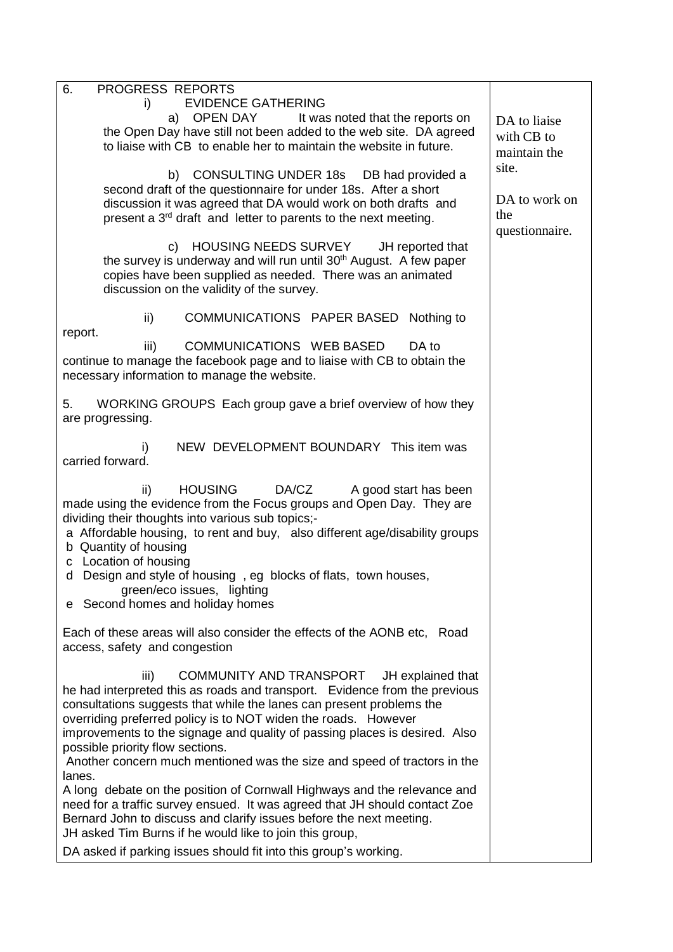| 6.<br>PROGRESS REPORTS                                                                                                                             |                |
|----------------------------------------------------------------------------------------------------------------------------------------------------|----------------|
| <b>EVIDENCE GATHERING</b><br>i)<br>OPEN DAY                                                                                                        |                |
| It was noted that the reports on<br>a)<br>the Open Day have still not been added to the web site. DA agreed                                        | DA to liaise   |
| to liaise with CB to enable her to maintain the website in future.                                                                                 | with CB to     |
|                                                                                                                                                    | maintain the   |
| b) CONSULTING UNDER 18s DB had provided a                                                                                                          | site.          |
| second draft of the questionnaire for under 18s. After a short                                                                                     | DA to work on  |
| discussion it was agreed that DA would work on both drafts and                                                                                     | the            |
| present a 3 <sup>rd</sup> draft and letter to parents to the next meeting.                                                                         | questionnaire. |
| <b>HOUSING NEEDS SURVEY</b><br>JH reported that<br>C)                                                                                              |                |
| the survey is underway and will run until 30 <sup>th</sup> August. A few paper                                                                     |                |
| copies have been supplied as needed. There was an animated                                                                                         |                |
| discussion on the validity of the survey.                                                                                                          |                |
|                                                                                                                                                    |                |
| COMMUNICATIONS PAPER BASED Nothing to<br>ii)<br>report.                                                                                            |                |
| iii)<br><b>COMMUNICATIONS WEB BASED</b><br>DA to                                                                                                   |                |
| continue to manage the facebook page and to liaise with CB to obtain the                                                                           |                |
| necessary information to manage the website.                                                                                                       |                |
|                                                                                                                                                    |                |
| WORKING GROUPS Each group gave a brief overview of how they<br>5.                                                                                  |                |
| are progressing.                                                                                                                                   |                |
| NEW DEVELOPMENT BOUNDARY This item was<br>i)                                                                                                       |                |
| carried forward.                                                                                                                                   |                |
|                                                                                                                                                    |                |
| <b>HOUSING</b><br>DA/CZ<br>A good start has been<br>ii)                                                                                            |                |
| made using the evidence from the Focus groups and Open Day. They are                                                                               |                |
| dividing their thoughts into various sub topics;-                                                                                                  |                |
| a Affordable housing, to rent and buy, also different age/disability groups<br>b Quantity of housing                                               |                |
| c Location of housing                                                                                                                              |                |
| d Design and style of housing, eg blocks of flats, town houses,                                                                                    |                |
| green/eco issues, lighting                                                                                                                         |                |
| e Second homes and holiday homes                                                                                                                   |                |
|                                                                                                                                                    |                |
|                                                                                                                                                    |                |
| Each of these areas will also consider the effects of the AONB etc, Road                                                                           |                |
| access, safety and congestion                                                                                                                      |                |
|                                                                                                                                                    |                |
| <b>COMMUNITY AND TRANSPORT</b><br>iii)<br>JH explained that                                                                                        |                |
| he had interpreted this as roads and transport. Evidence from the previous<br>consultations suggests that while the lanes can present problems the |                |
| overriding preferred policy is to NOT widen the roads. However                                                                                     |                |
| improvements to the signage and quality of passing places is desired. Also                                                                         |                |
| possible priority flow sections.                                                                                                                   |                |
| Another concern much mentioned was the size and speed of tractors in the                                                                           |                |
| lanes.                                                                                                                                             |                |
| A long debate on the position of Cornwall Highways and the relevance and                                                                           |                |
| need for a traffic survey ensued. It was agreed that JH should contact Zoe<br>Bernard John to discuss and clarify issues before the next meeting.  |                |
| JH asked Tim Burns if he would like to join this group,                                                                                            |                |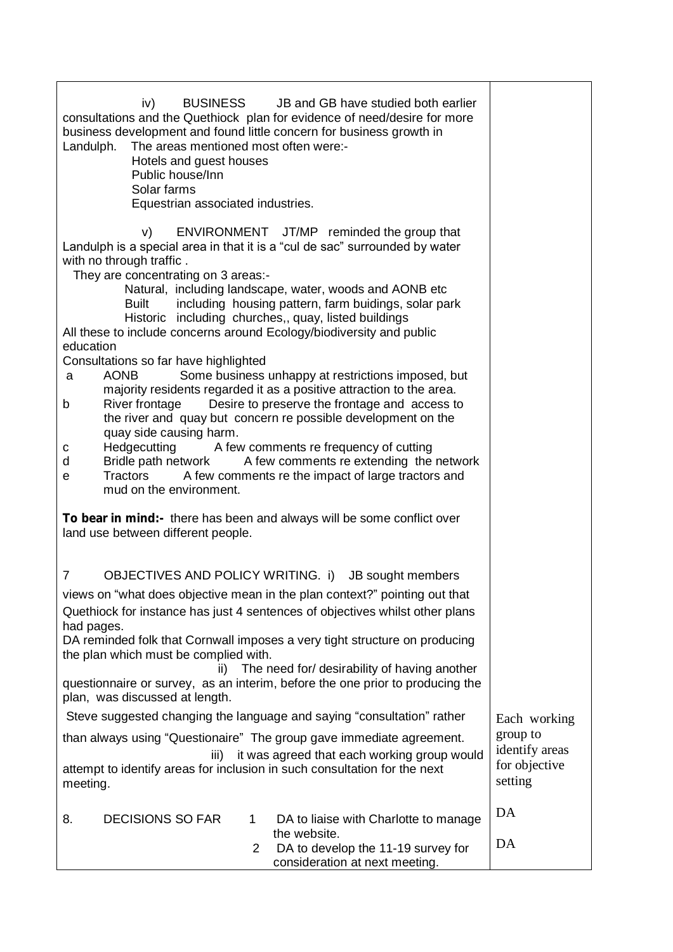| iv)<br>BUSINESS JB and GB have studied both earlier<br>consultations and the Quethiock plan for evidence of need/desire for more<br>business development and found little concern for business growth in<br>The areas mentioned most often were:-<br>Landulph.<br>Hotels and guest houses<br>Public house/Inn<br>Solar farms<br>Equestrian associated industries.                                                                                                                                                                                                                                                                                                                                                                                                                                                                                                                                                                                                                                                                                                        |                                                                        |
|--------------------------------------------------------------------------------------------------------------------------------------------------------------------------------------------------------------------------------------------------------------------------------------------------------------------------------------------------------------------------------------------------------------------------------------------------------------------------------------------------------------------------------------------------------------------------------------------------------------------------------------------------------------------------------------------------------------------------------------------------------------------------------------------------------------------------------------------------------------------------------------------------------------------------------------------------------------------------------------------------------------------------------------------------------------------------|------------------------------------------------------------------------|
| V)<br>ENVIRONMENT JT/MP reminded the group that<br>Landulph is a special area in that it is a "cul de sac" surrounded by water<br>with no through traffic.<br>They are concentrating on 3 areas:-<br>Natural, including landscape, water, woods and AONB etc<br>including housing pattern, farm buidings, solar park<br>Built<br>Historic including churches,, quay, listed buildings<br>All these to include concerns around Ecology/biodiversity and public<br>education<br>Consultations so far have highlighted<br>Some business unhappy at restrictions imposed, but<br><b>AONB</b><br>a<br>majority residents regarded it as a positive attraction to the area.<br>Desire to preserve the frontage and access to<br>River frontage<br>b<br>the river and quay but concern re possible development on the<br>quay side causing harm.<br>Hedgecutting A few comments re frequency of cutting<br>с<br>Bridle path network A few comments re extending the network<br>d<br>Tractors A few comments re the impact of large tractors and<br>e<br>mud on the environment. |                                                                        |
| To bear in mind:- there has been and always will be some conflict over<br>land use between different people.                                                                                                                                                                                                                                                                                                                                                                                                                                                                                                                                                                                                                                                                                                                                                                                                                                                                                                                                                             |                                                                        |
| OBJECTIVES AND POLICY WRITING. i) JB sought members<br>7<br>views on "what does objective mean in the plan context?" pointing out that<br>Quethiock for instance has just 4 sentences of objectives whilst other plans<br>had pages.<br>DA reminded folk that Cornwall imposes a very tight structure on producing<br>the plan which must be complied with.<br>The need for/ desirability of having another<br>ii)<br>questionnaire or survey, as an interim, before the one prior to producing the<br>plan, was discussed at length.<br>Steve suggested changing the language and saying "consultation" rather<br>than always using "Questionaire" The group gave immediate agreement.<br>it was agreed that each working group would<br>iii)<br>attempt to identify areas for inclusion in such consultation for the next<br>meeting.                                                                                                                                                                                                                                  | Each working<br>group to<br>identify areas<br>for objective<br>setting |
| <b>DECISIONS SO FAR</b><br>8.<br>DA to liaise with Charlotte to manage<br>1<br>the website.<br>DA to develop the 11-19 survey for<br>2<br>consideration at next meeting.                                                                                                                                                                                                                                                                                                                                                                                                                                                                                                                                                                                                                                                                                                                                                                                                                                                                                                 | DA<br>DA                                                               |